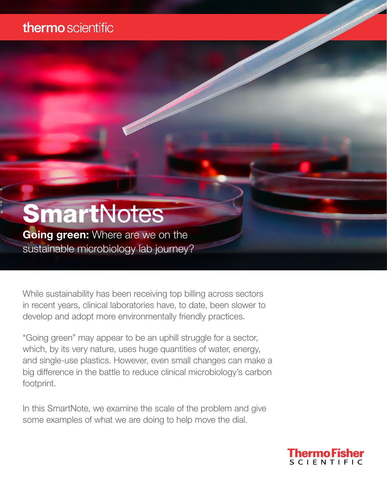### thermo scientific

# **SmartNotes**

**Going green:** Where are we on the sustainable microbiology lab journey?

While sustainability has been receiving top billing across sectors in recent years, clinical laboratories have, to date, been slower to develop and adopt more environmentally friendly practices.

"Going green" may appear to be an uphill struggle for a sector, which, by its very nature, uses huge quantities of water, energy, and single-use plastics. However, even small changes can make a big difference in the battle to reduce clinical microbiology's carbon footprint.

In this SmartNote, we examine the scale of the problem and give some examples of what we are doing to help move the dial.

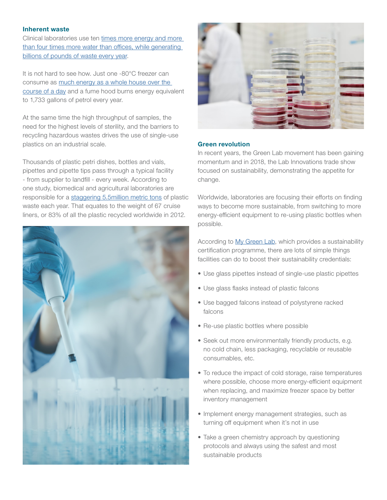#### Inherent waste

Clinical laboratories use ten [times more energy and more](https://www.aacc.org/cln/articles/2019/march/clinical-labs-making-the-switch-to-green)  [than four times more water than offices, while generating](https://www.aacc.org/cln/articles/2019/march/clinical-labs-making-the-switch-to-green)  [billions of pounds of waste every year.](https://www.aacc.org/cln/articles/2019/march/clinical-labs-making-the-switch-to-green)

It is not hard to see how. Just one -80°C freezer can consume as [much energy as a whole house over the](https://www.ascb.org/careers/practical-tips-make-lab-sustainable/)  [course of a day](https://www.ascb.org/careers/practical-tips-make-lab-sustainable/) and a fume hood burns energy equivalent to 1,733 gallons of petrol every year.

At the same time the high throughput of samples, the need for the highest levels of sterility, and the barriers to recycling hazardous wastes drives the use of single-use plastics on an industrial scale.

Thousands of plastic petri dishes, bottles and vials, pipettes and pipette tips pass through a typical facility - from supplier to landfill - every week. According to one study, biomedical and agricultural laboratories are responsible for a [staggering 5.5million metric tons](https://www.nature.com/articles/528479c) of plastic waste each year. That equates to the weight of 67 cruise liners, or 83% of all the plastic recycled worldwide in 2012.





#### Green revolution

In recent years, the Green Lab movement has been gaining momentum and in 2018, the Lab Innovations trade show focused on sustainability, demonstrating the appetite for change.

Worldwide, laboratories are focusing their efforts on finding ways to become more sustainable, from switching to more energy-efficient equipment to re-using plastic bottles when possible.

According to [My Green Lab](https://www.mygreenlab.org/), which provides a sustainability certification programme, there are lots of simple things facilities can do to boost their sustainability credentials:

- Use glass pipettes instead of single-use plastic pipettes
- Use glass flasks instead of plastic falcons
- Use bagged falcons instead of polystyrene racked falcons
- Re-use plastic bottles where possible
- Seek out more environmentally friendly products, e.g. no cold chain, less packaging, recyclable or reusable consumables, etc.
- To reduce the impact of cold storage, raise temperatures where possible, choose more energy-efficient equipment when replacing, and maximize freezer space by better inventory management
- Implement energy management strategies, such as turning off equipment when it's not in use
- Take a green chemistry approach by questioning protocols and always using the safest and most sustainable products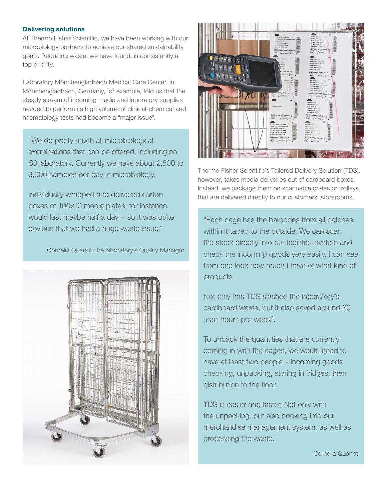#### Delivering solutions

At Thermo Fisher Scientific, we have been working with our microbiology partners to achieve our shared sustainability goals. Reducing waste, we have found, is consistently a top priority.

Laboratory Mönchengladbach Medical Care Center, in Mönchengladbach, Germany, for example, told us that the steady stream of incoming media and laboratory supplies needed to perform its high volume of clinical-chemical and haematology tests had become a "major issue".

"We do pretty much all microbiological examinations that can be offered, including an S3 laboratory. Currently we have about 2,500 to 3,000 samples per day in microbiology.

Individually wrapped and delivered carton boxes of 100x10 media plates, for instance, would last maybe half a day – so it was quite obvious that we had a huge waste issue."

Cornelia Quandt, the laboratory's Quality Manager





Thermo Fisher Scientific's Tailored Delivery Solution (TDS), however, takes media deliveries out of cardboard boxes. Instead, we package them on scannable crates or trolleys that are delivered directly to our customers' storerooms.

"Each cage has the barcodes from all batches within it taped to the outside. We can scan the stock directly into our logistics system and check the incoming goods very easily. I can see from one look how much I have of what kind of products.

Not only has TDS slashed the laboratory's cardboard waste, but it also saved around 30 man-hours per week<sup>2</sup>.

To unpack the quantities that are currently coming in with the cages, we would need to have at least two people – incoming goods checking, unpacking, storing in fridges, then distribution to the floor.

TDS is easier and faster. Not only with the unpacking, but also booking into our merchandise management system, as well as processing the waste."

Cornelia Quandt